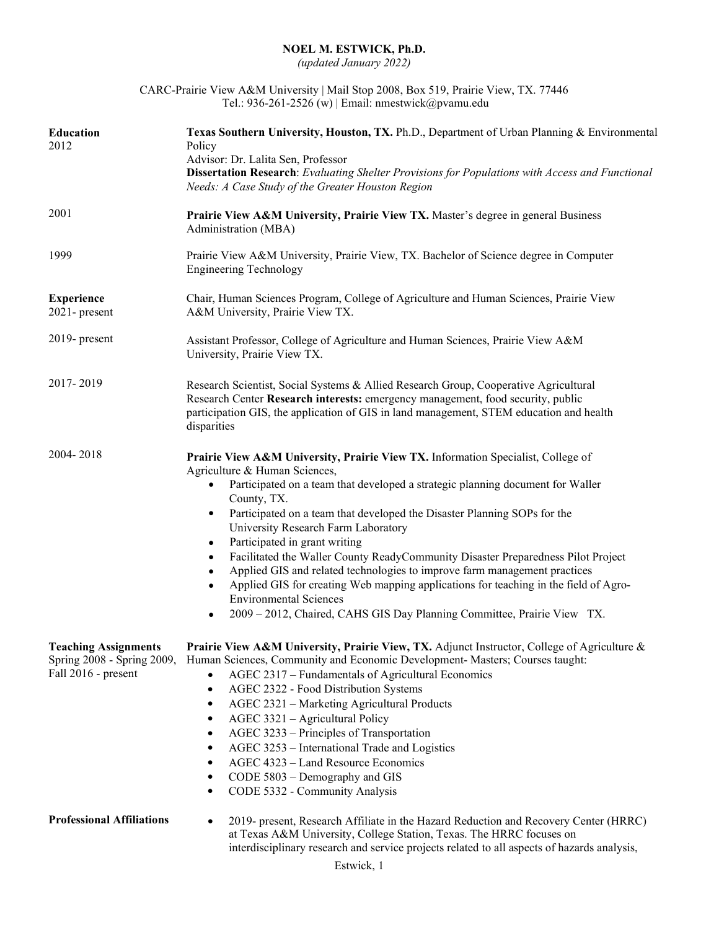## **NOEL M. ESTWICK, Ph.D.**

*(updated January 2022)*

| CARC-Prairie View A&M University   Mail Stop 2008, Box 519, Prairie View, TX. 77446 |
|-------------------------------------------------------------------------------------|
| Tel.: 936-261-2526 (w)   Email: nmestwick@pvamu.edu                                 |

| Education<br>2012                                  | Texas Southern University, Houston, TX. Ph.D., Department of Urban Planning & Environmental<br>Policy<br>Advisor: Dr. Lalita Sen, Professor<br>Dissertation Research: Evaluating Shelter Provisions for Populations with Access and Functional<br>Needs: A Case Study of the Greater Houston Region                                                                                                                                                                                                                                                                                                                                                                                                                                                                                                                                    |
|----------------------------------------------------|----------------------------------------------------------------------------------------------------------------------------------------------------------------------------------------------------------------------------------------------------------------------------------------------------------------------------------------------------------------------------------------------------------------------------------------------------------------------------------------------------------------------------------------------------------------------------------------------------------------------------------------------------------------------------------------------------------------------------------------------------------------------------------------------------------------------------------------|
| 2001                                               | Prairie View A&M University, Prairie View TX. Master's degree in general Business<br>Administration (MBA)                                                                                                                                                                                                                                                                                                                                                                                                                                                                                                                                                                                                                                                                                                                              |
| 1999                                               | Prairie View A&M University, Prairie View, TX. Bachelor of Science degree in Computer<br><b>Engineering Technology</b>                                                                                                                                                                                                                                                                                                                                                                                                                                                                                                                                                                                                                                                                                                                 |
| <b>Experience</b><br>2021-present                  | Chair, Human Sciences Program, College of Agriculture and Human Sciences, Prairie View<br>A&M University, Prairie View TX.                                                                                                                                                                                                                                                                                                                                                                                                                                                                                                                                                                                                                                                                                                             |
| 2019- present                                      | Assistant Professor, College of Agriculture and Human Sciences, Prairie View A&M<br>University, Prairie View TX.                                                                                                                                                                                                                                                                                                                                                                                                                                                                                                                                                                                                                                                                                                                       |
| 2017-2019                                          | Research Scientist, Social Systems & Allied Research Group, Cooperative Agricultural<br>Research Center Research interests: emergency management, food security, public<br>participation GIS, the application of GIS in land management, STEM education and health<br>disparities                                                                                                                                                                                                                                                                                                                                                                                                                                                                                                                                                      |
| 2004-2018                                          | Prairie View A&M University, Prairie View TX. Information Specialist, College of<br>Agriculture & Human Sciences,<br>Participated on a team that developed a strategic planning document for Waller<br>$\bullet$<br>County, TX.<br>Participated on a team that developed the Disaster Planning SOPs for the<br>$\bullet$<br>University Research Farm Laboratory<br>Participated in grant writing<br>$\bullet$<br>Facilitated the Waller County ReadyCommunity Disaster Preparedness Pilot Project<br>$\bullet$<br>Applied GIS and related technologies to improve farm management practices<br>$\bullet$<br>Applied GIS for creating Web mapping applications for teaching in the field of Agro-<br>$\bullet$<br><b>Environmental Sciences</b><br>2009 - 2012, Chaired, CAHS GIS Day Planning Committee, Prairie View TX.<br>$\bullet$ |
| <b>Teaching Assignments</b><br>Fall 2016 - present | <b>Prairie View A&amp;M University, Prairie View, TX.</b> Adjunct Instructor, College of Agriculture &<br>Spring 2008 - Spring 2009, Human Sciences, Community and Economic Development- Masters; Courses taught:<br>AGEC 2317 - Fundamentals of Agricultural Economics<br>AGEC 2322 - Food Distribution Systems<br>$\bullet$<br>AGEC 2321 - Marketing Agricultural Products<br>$\bullet$<br>AGEC 3321 - Agricultural Policy<br>$\bullet$<br>AGEC 3233 - Principles of Transportation<br>$\bullet$<br>AGEC 3253 - International Trade and Logistics<br>٠<br>AGEC 4323 - Land Resource Economics<br>$\bullet$<br>CODE 5803 - Demography and GIS<br>٠<br>CODE 5332 - Community Analysis<br>٠                                                                                                                                             |
| <b>Professional Affiliations</b>                   | 2019- present, Research Affiliate in the Hazard Reduction and Recovery Center (HRRC)<br>at Texas A&M University, College Station, Texas. The HRRC focuses on<br>interdisciplinary research and service projects related to all aspects of hazards analysis,                                                                                                                                                                                                                                                                                                                                                                                                                                                                                                                                                                            |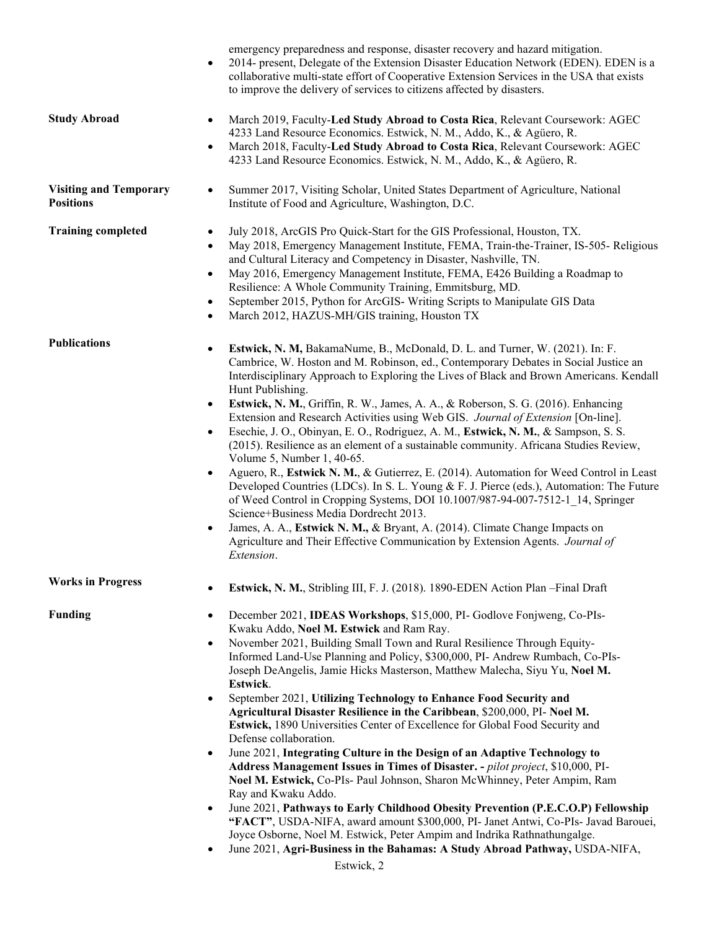|                                                   | emergency preparedness and response, disaster recovery and hazard mitigation.<br>2014- present, Delegate of the Extension Disaster Education Network (EDEN). EDEN is a<br>collaborative multi-state effort of Cooperative Extension Services in the USA that exists<br>to improve the delivery of services to citizens affected by disasters.                                                                                                                                                                                                                                                                                                                                                                                                                                                                                                                                                                                                                                                                                                                                                                                                                                                                                                                                                                  |
|---------------------------------------------------|----------------------------------------------------------------------------------------------------------------------------------------------------------------------------------------------------------------------------------------------------------------------------------------------------------------------------------------------------------------------------------------------------------------------------------------------------------------------------------------------------------------------------------------------------------------------------------------------------------------------------------------------------------------------------------------------------------------------------------------------------------------------------------------------------------------------------------------------------------------------------------------------------------------------------------------------------------------------------------------------------------------------------------------------------------------------------------------------------------------------------------------------------------------------------------------------------------------------------------------------------------------------------------------------------------------|
| <b>Study Abroad</b>                               | March 2019, Faculty-Led Study Abroad to Costa Rica, Relevant Coursework: AGEC<br>٠<br>4233 Land Resource Economics. Estwick, N. M., Addo, K., & Agüero, R.<br>March 2018, Faculty-Led Study Abroad to Costa Rica, Relevant Coursework: AGEC<br>$\bullet$<br>4233 Land Resource Economics. Estwick, N. M., Addo, K., & Agüero, R.                                                                                                                                                                                                                                                                                                                                                                                                                                                                                                                                                                                                                                                                                                                                                                                                                                                                                                                                                                               |
| <b>Visiting and Temporary</b><br><b>Positions</b> | Summer 2017, Visiting Scholar, United States Department of Agriculture, National<br>Institute of Food and Agriculture, Washington, D.C.                                                                                                                                                                                                                                                                                                                                                                                                                                                                                                                                                                                                                                                                                                                                                                                                                                                                                                                                                                                                                                                                                                                                                                        |
| <b>Training completed</b>                         | July 2018, ArcGIS Pro Quick-Start for the GIS Professional, Houston, TX.<br>$\bullet$<br>May 2018, Emergency Management Institute, FEMA, Train-the-Trainer, IS-505- Religious<br>$\bullet$<br>and Cultural Literacy and Competency in Disaster, Nashville, TN.<br>May 2016, Emergency Management Institute, FEMA, E426 Building a Roadmap to<br>$\bullet$<br>Resilience: A Whole Community Training, Emmitsburg, MD.<br>September 2015, Python for ArcGIS-Writing Scripts to Manipulate GIS Data<br>$\bullet$<br>March 2012, HAZUS-MH/GIS training, Houston TX<br>$\bullet$                                                                                                                                                                                                                                                                                                                                                                                                                                                                                                                                                                                                                                                                                                                                    |
| <b>Publications</b>                               | Estwick, N. M, BakamaNume, B., McDonald, D. L. and Turner, W. (2021). In: F.<br>$\bullet$<br>Cambrice, W. Hoston and M. Robinson, ed., Contemporary Debates in Social Justice an<br>Interdisciplinary Approach to Exploring the Lives of Black and Brown Americans. Kendall<br>Hunt Publishing.<br>Estwick, N. M., Griffin, R. W., James, A. A., & Roberson, S. G. (2016). Enhancing<br>$\bullet$<br>Extension and Research Activities using Web GIS. Journal of Extension [On-line].<br>Esechie, J. O., Obinyan, E. O., Rodriguez, A. M., Estwick, N. M., & Sampson, S. S.<br>$\bullet$<br>(2015). Resilience as an element of a sustainable community. Africana Studies Review,<br>Volume 5, Number 1, 40-65.<br>Aguero, R., Estwick N. M., & Gutierrez, E. (2014). Automation for Weed Control in Least<br>$\bullet$<br>Developed Countries (LDCs). In S. L. Young & F. J. Pierce (eds.), Automation: The Future<br>of Weed Control in Cropping Systems, DOI 10.1007/987-94-007-7512-1_14, Springer<br>Science+Business Media Dordrecht 2013.<br>James, A. A., Estwick N. M., & Bryant, A. (2014). Climate Change Impacts on<br>$\bullet$<br>Agriculture and Their Effective Communication by Extension Agents. Journal of<br>Extension.                                                                    |
| <b>Works in Progress</b>                          | Estwick, N. M., Stribling III, F. J. (2018). 1890-EDEN Action Plan - Final Draft                                                                                                                                                                                                                                                                                                                                                                                                                                                                                                                                                                                                                                                                                                                                                                                                                                                                                                                                                                                                                                                                                                                                                                                                                               |
| <b>Funding</b>                                    | December 2021, IDEAS Workshops, \$15,000, PI- Godlove Fonjweng, Co-PIs-<br>$\bullet$<br>Kwaku Addo, Noel M. Estwick and Ram Ray.<br>November 2021, Building Small Town and Rural Resilience Through Equity-<br>$\bullet$<br>Informed Land-Use Planning and Policy, \$300,000, PI- Andrew Rumbach, Co-PIs-<br>Joseph DeAngelis, Jamie Hicks Masterson, Matthew Malecha, Siyu Yu, Noel M.<br>Estwick.<br>September 2021, Utilizing Technology to Enhance Food Security and<br>$\bullet$<br>Agricultural Disaster Resilience in the Caribbean, \$200,000, PI- Noel M.<br>Estwick, 1890 Universities Center of Excellence for Global Food Security and<br>Defense collaboration.<br>June 2021, Integrating Culture in the Design of an Adaptive Technology to<br>$\bullet$<br>Address Management Issues in Times of Disaster. - pilot project, \$10,000, PI-<br>Noel M. Estwick, Co-PIs- Paul Johnson, Sharon McWhinney, Peter Ampim, Ram<br>Ray and Kwaku Addo.<br>June 2021, Pathways to Early Childhood Obesity Prevention (P.E.C.O.P) Fellowship<br>"FACT", USDA-NIFA, award amount \$300,000, PI- Janet Antwi, Co-PIs- Javad Barouei,<br>Joyce Osborne, Noel M. Estwick, Peter Ampim and Indrika Rathnathungalge.<br>June 2021, Agri-Business in the Bahamas: A Study Abroad Pathway, USDA-NIFA,<br>$\bullet$ |
|                                                   | Estwick, 2                                                                                                                                                                                                                                                                                                                                                                                                                                                                                                                                                                                                                                                                                                                                                                                                                                                                                                                                                                                                                                                                                                                                                                                                                                                                                                     |